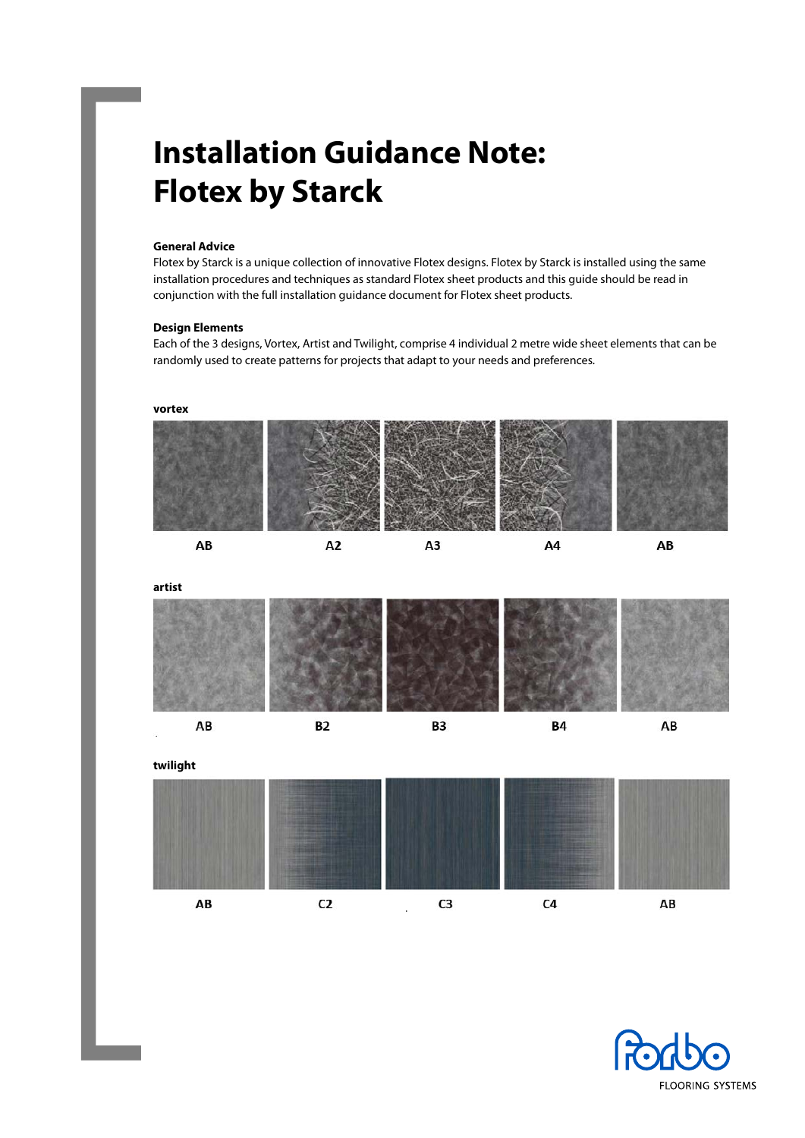# **Installation Guidance Note: Flotex by Starck**

# **General Advice**

Flotex by Starck is a unique collection of innovative Flotex designs. Flotex by Starck is installed using the same installation procedures and techniques as standard Flotex sheet products and this guide should be read in conjunction with the full installation guidance document for Flotex sheet products.

#### **Design Elements**

Each of the 3 designs, Vortex, Artist and Twilight, comprise 4 individual 2 metre wide sheet elements that can be randomly used to create patterns for projects that adapt to your needs and preferences.



**artist**



**twilight** AB  $C<sub>2</sub>$ C<sub>3</sub>  $C<sub>4</sub>$ AB

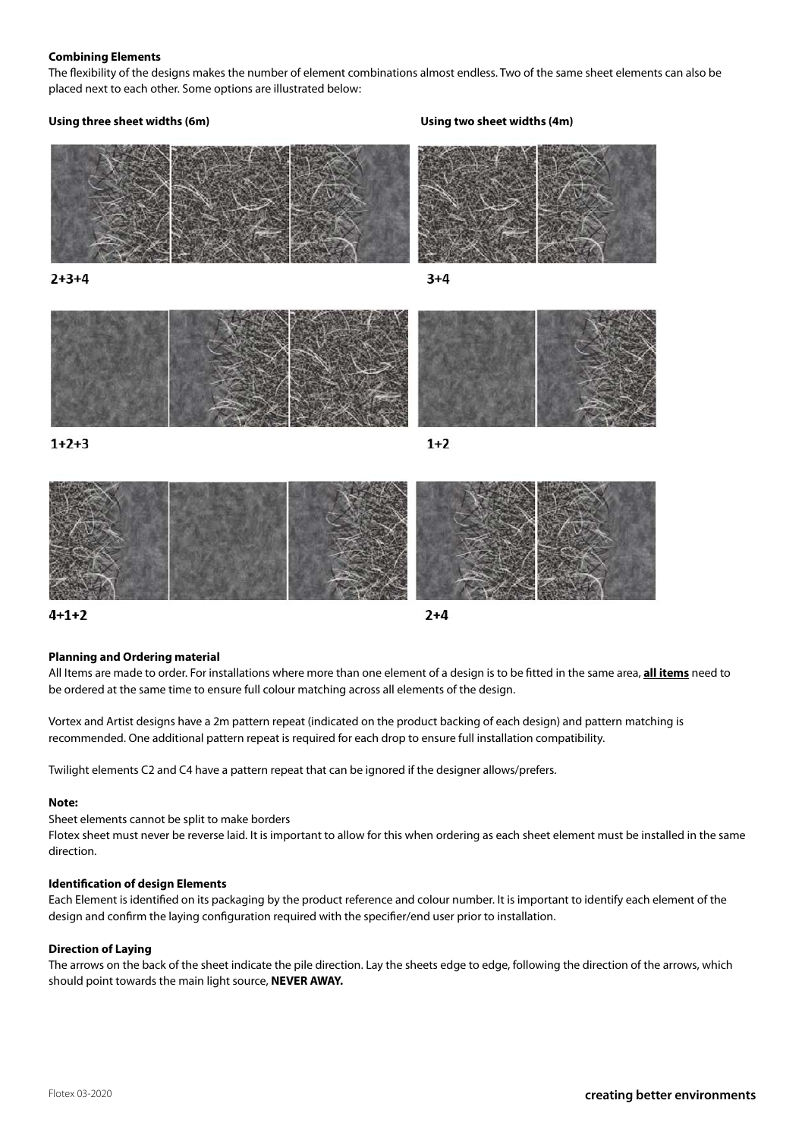#### **Combining Elements**

The flexibility of the designs makes the number of element combinations almost endless. Two of the same sheet elements can also be placed next to each other. Some options are illustrated below:

# **Using three sheet widths (6m) Using two sheet widths (4m)**





 $1+2+3$ 

 $1+2$ 



 $4 + 1 + 2$ 



# **Planning and Ordering material**

All Items are made to order. For installations where more than one element of a design is to be fitted in the same area, **all items** need to be ordered at the same time to ensure full colour matching across all elements of the design.

Vortex and Artist designs have a 2m pattern repeat (indicated on the product backing of each design) and pattern matching is recommended. One additional pattern repeat is required for each drop to ensure full installation compatibility.

Twilight elements C2 and C4 have a pattern repeat that can be ignored if the designer allows/prefers.

#### **Note:**

Sheet elements cannot be split to make borders

Flotex sheet must never be reverse laid. It is important to allow for this when ordering as each sheet element must be installed in the same direction.

#### **Identification of design Elements**

Each Element is identified on its packaging by the product reference and colour number. It is important to identify each element of the design and confirm the laying configuration required with the specifier/end user prior to installation.

#### **Direction of Laying**

The arrows on the back of the sheet indicate the pile direction. Lay the sheets edge to edge, following the direction of the arrows, which should point towards the main light source, **NEVER AWAY.**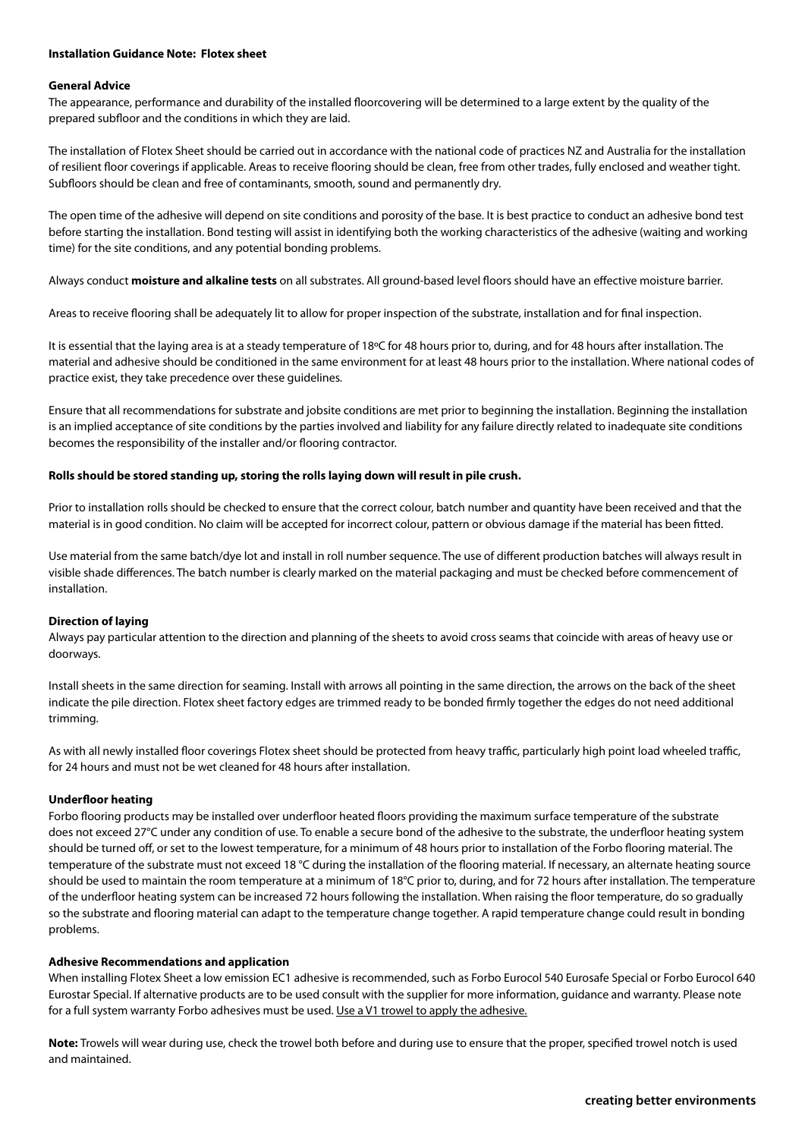#### **Installation Guidance Note: Flotex sheet**

#### **General Advice**

The appearance, performance and durability of the installed floorcovering will be determined to a large extent by the quality of the prepared subfloor and the conditions in which they are laid.

The installation of Flotex Sheet should be carried out in accordance with the national code of practices NZ and Australia for the installation of resilient floor coverings if applicable. Areas to receive flooring should be clean, free from other trades, fully enclosed and weather tight. Subfloors should be clean and free of contaminants, smooth, sound and permanently dry.

The open time of the adhesive will depend on site conditions and porosity of the base. It is best practice to conduct an adhesive bond test before starting the installation. Bond testing will assist in identifying both the working characteristics of the adhesive (waiting and working time) for the site conditions, and any potential bonding problems.

Always conduct **moisture and alkaline tests** on all substrates. All ground-based level floors should have an effective moisture barrier.

Areas to receive flooring shall be adequately lit to allow for proper inspection of the substrate, installation and for final inspection.

It is essential that the laying area is at a steady temperature of 18°C for 48 hours prior to, during, and for 48 hours after installation. The material and adhesive should be conditioned in the same environment for at least 48 hours prior to the installation. Where national codes of practice exist, they take precedence over these guidelines.

Ensure that all recommendations for substrate and jobsite conditions are met prior to beginning the installation. Beginning the installation is an implied acceptance of site conditions by the parties involved and liability for any failure directly related to inadequate site conditions becomes the responsibility of the installer and/or flooring contractor.

#### **Rolls should be stored standing up, storing the rolls laying down will result in pile crush.**

Prior to installation rolls should be checked to ensure that the correct colour, batch number and quantity have been received and that the material is in good condition. No claim will be accepted for incorrect colour, pattern or obvious damage if the material has been fitted.

Use material from the same batch/dye lot and install in roll number sequence. The use of different production batches will always result in visible shade differences. The batch number is clearly marked on the material packaging and must be checked before commencement of installation.

#### **Direction of laying**

Always pay particular attention to the direction and planning of the sheets to avoid cross seams that coincide with areas of heavy use or doorways.

Install sheets in the same direction for seaming. Install with arrows all pointing in the same direction, the arrows on the back of the sheet indicate the pile direction. Flotex sheet factory edges are trimmed ready to be bonded firmly together the edges do not need additional trimming.

As with all newly installed floor coverings Flotex sheet should be protected from heavy traffic, particularly high point load wheeled traffic, for 24 hours and must not be wet cleaned for 48 hours after installation.

#### **Underfloor heating**

Forbo flooring products may be installed over underfloor heated floors providing the maximum surface temperature of the substrate does not exceed 27°C under any condition of use. To enable a secure bond of the adhesive to the substrate, the underfloor heating system should be turned off, or set to the lowest temperature, for a minimum of 48 hours prior to installation of the Forbo flooring material. The temperature of the substrate must not exceed 18 °C during the installation of the flooring material. If necessary, an alternate heating source should be used to maintain the room temperature at a minimum of 18°C prior to, during, and for 72 hours after installation. The temperature of the underfloor heating system can be increased 72 hours following the installation. When raising the floor temperature, do so gradually so the substrate and flooring material can adapt to the temperature change together. A rapid temperature change could result in bonding problems.

#### **Adhesive Recommendations and application**

When installing Flotex Sheet a low emission EC1 adhesive is recommended, such as Forbo Eurocol 540 Eurosafe Special or Forbo Eurocol 640 Eurostar Special. If alternative products are to be used consult with the supplier for more information, guidance and warranty. Please note for a full system warranty Forbo adhesives must be used. Use a V1 trowel to apply the adhesive.

**Note:** Trowels will wear during use, check the trowel both before and during use to ensure that the proper, specified trowel notch is used and maintained.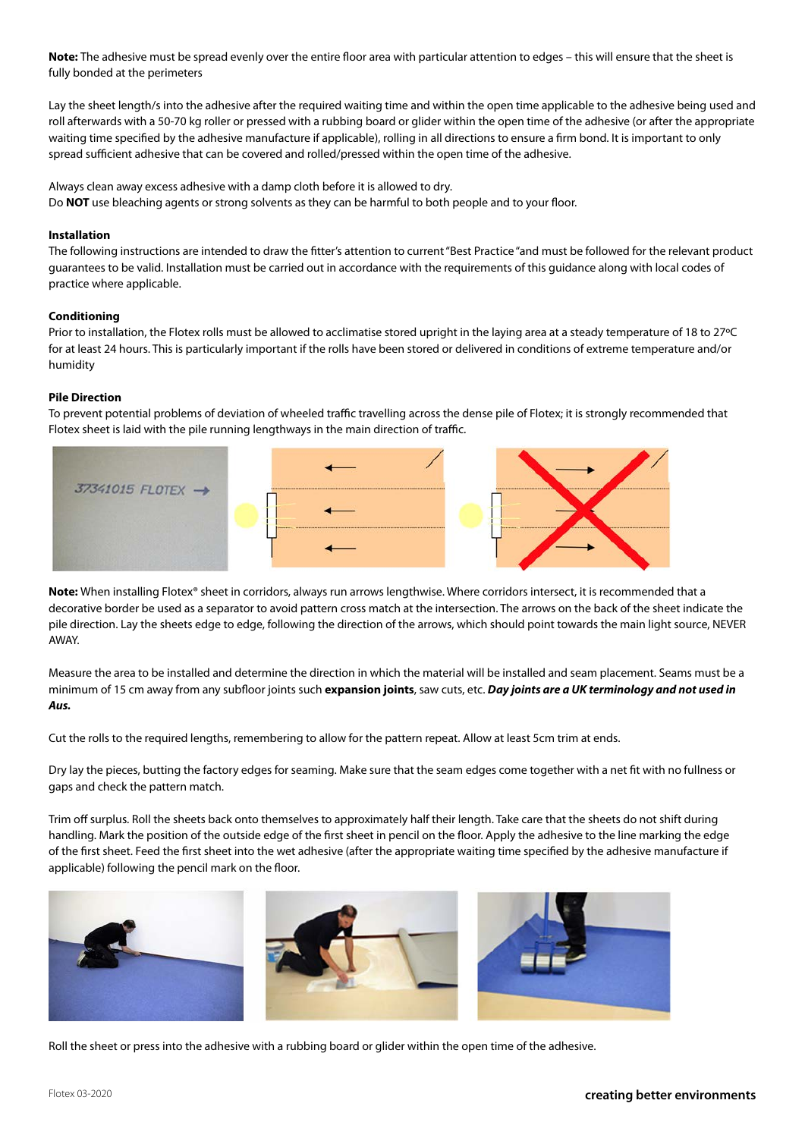**Note:** The adhesive must be spread evenly over the entire floor area with particular attention to edges – this will ensure that the sheet is fully bonded at the perimeters

Lay the sheet length/s into the adhesive after the required waiting time and within the open time applicable to the adhesive being used and roll afterwards with a 50-70 kg roller or pressed with a rubbing board or glider within the open time of the adhesive (or after the appropriate waiting time specified by the adhesive manufacture if applicable), rolling in all directions to ensure a firm bond. It is important to only spread sufficient adhesive that can be covered and rolled/pressed within the open time of the adhesive.

Always clean away excess adhesive with a damp cloth before it is allowed to dry. Do **NOT** use bleaching agents or strong solvents as they can be harmful to both people and to your floor.

# **Installation**

The following instructions are intended to draw the fitter's attention to current "Best Practice "and must be followed for the relevant product guarantees to be valid. Installation must be carried out in accordance with the requirements of this guidance along with local codes of practice where applicable.

# **Conditioning**

Prior to installation, the Flotex rolls must be allowed to acclimatise stored upright in the laying area at a steady temperature of 18 to 27°C for at least 24 hours. This is particularly important if the rolls have been stored or delivered in conditions of extreme temperature and/or humidity

# **Pile Direction**

To prevent potential problems of deviation of wheeled traffic travelling across the dense pile of Flotex; it is strongly recommended that Flotex sheet is laid with the pile running lengthways in the main direction of traffic.



**Note:** When installing Flotex® sheet in corridors, always run arrows lengthwise. Where corridors intersect, it is recommended that a decorative border be used as a separator to avoid pattern cross match at the intersection. The arrows on the back of the sheet indicate the pile direction. Lay the sheets edge to edge, following the direction of the arrows, which should point towards the main light source, NEVER AWAY.

Measure the area to be installed and determine the direction in which the material will be installed and seam placement. Seams must be a minimum of 15 cm away from any subfloor joints such **expansion joints**, saw cuts, etc. *Day joints are a UK terminology and not used in Aus.*

Cut the rolls to the required lengths, remembering to allow for the pattern repeat. Allow at least 5cm trim at ends.

Dry lay the pieces, butting the factory edges for seaming. Make sure that the seam edges come together with a net fit with no fullness or gaps and check the pattern match.

Trim off surplus. Roll the sheets back onto themselves to approximately half their length. Take care that the sheets do not shift during handling. Mark the position of the outside edge of the first sheet in pencil on the floor. Apply the adhesive to the line marking the edge of the first sheet. Feed the first sheet into the wet adhesive (after the appropriate waiting time specified by the adhesive manufacture if applicable) following the pencil mark on the floor.



Roll the sheet or press into the adhesive with a rubbing board or glider within the open time of the adhesive.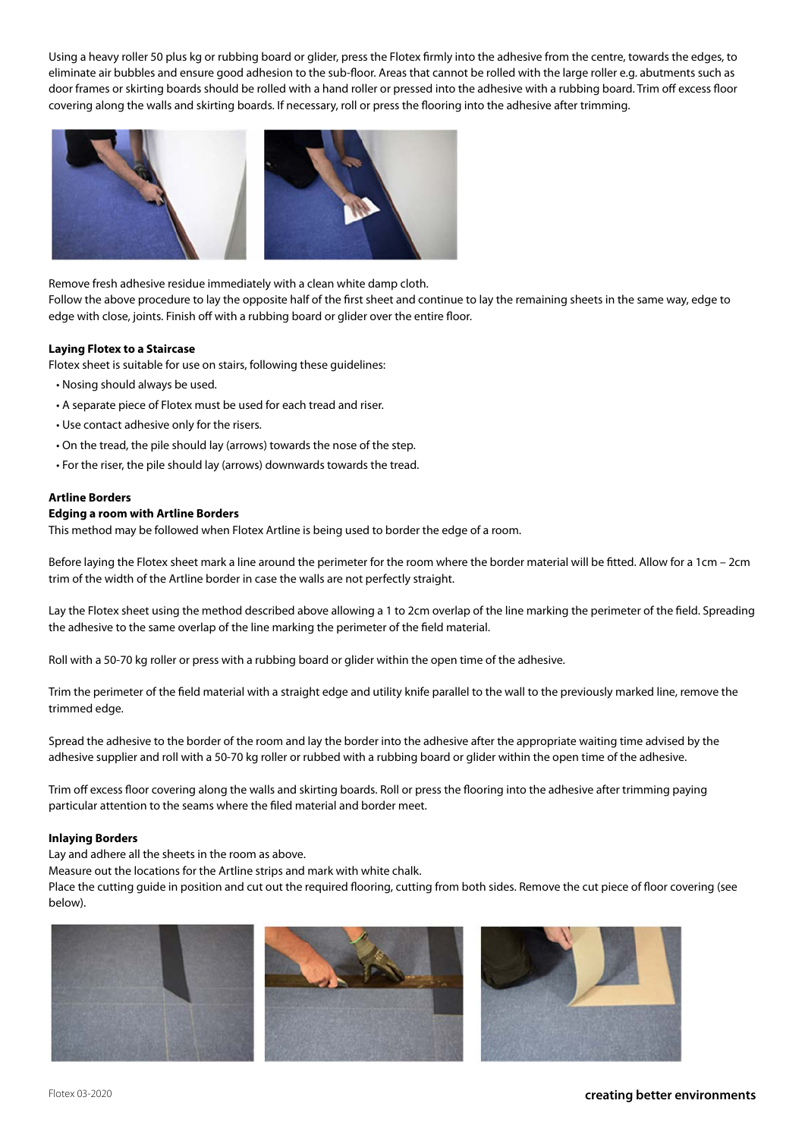Using a heavy roller 50 plus kg or rubbing board or glider, press the Flotex firmly into the adhesive from the centre, towards the edges, to eliminate air bubbles and ensure good adhesion to the sub-floor. Areas that cannot be rolled with the large roller e.g. abutments such as door frames or skirting boards should be rolled with a hand roller or pressed into the adhesive with a rubbing board. Trim off excess floor covering along the walls and skirting boards. If necessary, roll or press the flooring into the adhesive after trimming.



Remove fresh adhesive residue immediately with a clean white damp cloth.

Follow the above procedure to lay the opposite half of the first sheet and continue to lay the remaining sheets in the same way, edge to edge with close, joints. Finish off with a rubbing board or glider over the entire floor.

#### **Laying Flotex to a Staircase**

Flotex sheet is suitable for use on stairs, following these guidelines:

- Nosing should always be used.
- A separate piece of Flotex must be used for each tread and riser.
- Use contact adhesive only for the risers.
- On the tread, the pile should lay (arrows) towards the nose of the step.
- For the riser, the pile should lay (arrows) downwards towards the tread.

#### **Artline Borders**

# **Edging a room with Artline Borders**

This method may be followed when Flotex Artline is being used to border the edge of a room.

Before laying the Flotex sheet mark a line around the perimeter for the room where the border material will be fitted. Allow for a 1cm – 2cm trim of the width of the Artline border in case the walls are not perfectly straight.

Lay the Flotex sheet using the method described above allowing a 1 to 2cm overlap of the line marking the perimeter of the field. Spreading the adhesive to the same overlap of the line marking the perimeter of the field material.

Roll with a 50-70 kg roller or press with a rubbing board or glider within the open time of the adhesive.

Trim the perimeter of the field material with a straight edge and utility knife parallel to the wall to the previously marked line, remove the trimmed edge.

Spread the adhesive to the border of the room and lay the border into the adhesive after the appropriate waiting time advised by the adhesive supplier and roll with a 50-70 kg roller or rubbed with a rubbing board or glider within the open time of the adhesive.

Trim off excess floor covering along the walls and skirting boards. Roll or press the flooring into the adhesive after trimming paying particular attention to the seams where the filed material and border meet.

#### **Inlaying Borders**

Lay and adhere all the sheets in the room as above.

Measure out the locations for the Artline strips and mark with white chalk.

Place the cutting guide in position and cut out the required flooring, cutting from both sides. Remove the cut piece of floor covering (see below).